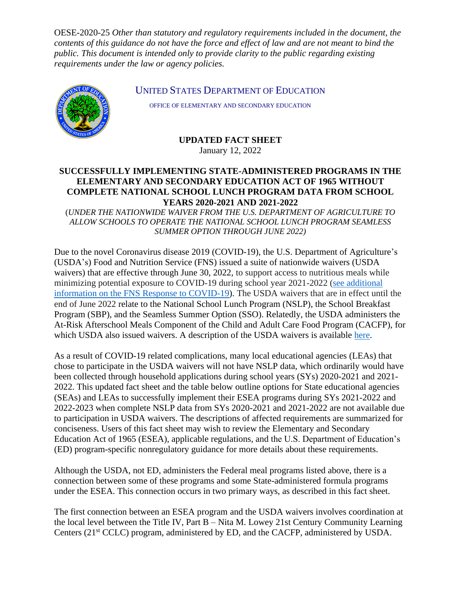OESE-2020-25 *Other than statutory and regulatory requirements included in the document, the contents of this guidance do not have the force and effect of law and are not meant to bind the public. This document is intended only to provide clarity to the public regarding existing requirements under the law or agency policies.*



UNITED STATES DEPARTMENT OF EDUCATION

OFFICE OF ELEMENTARY AND SECONDARY EDUCATION

**UPDATED FACT SHEET**

January 12, 2022

## **SUCCESSFULLY IMPLEMENTING STATE-ADMINISTERED PROGRAMS IN THE ELEMENTARY AND SECONDARY EDUCATION ACT OF 1965 WITHOUT COMPLETE NATIONAL SCHOOL LUNCH PROGRAM DATA FROM SCHOOL YEARS 2020-2021 AND 2021-2022**

(*UNDER THE NATIONWIDE WAIVER FROM THE U.S. DEPARTMENT OF AGRICULTURE TO ALLOW SCHOOLS TO OPERATE THE NATIONAL SCHOOL LUNCH PROGRAM SEAMLESS SUMMER OPTION THROUGH JUNE 2022)*

Due to the novel Coronavirus disease 2019 (COVID-19), the U.S. Department of Agriculture's (USDA's) Food and Nutrition Service (FNS) issued a suite of nationwide waivers (USDA waivers) that are effective through June 30, 2022, to support access to nutritious meals while minimizing potential exposure to COVID-19 during school year 2021-2022 [\(see additional](https://www.fns.usda.gov/coronavirus)  [information on the FNS Response to COVID-19\)](https://www.fns.usda.gov/coronavirus). The USDA waivers that are in effect until the end of June 2022 relate to the National School Lunch Program (NSLP), the School Breakfast Program (SBP), and the Seamless Summer Option (SSO). Relatedly, the USDA administers the At-Risk Afterschool Meals Component of the Child and Adult Care Food Program (CACFP), for which USDA also issued waivers. A description of the USDA waivers is available [here.](https://www.fns.usda.gov/disaster/pandemic/cn-2021-22-waivers-and-flexibilities)

As a result of COVID-19 related complications, many local educational agencies (LEAs) that chose to participate in the USDA waivers will not have NSLP data, which ordinarily would have been collected through household applications during school years (SYs) 2020-2021 and 2021- 2022. This updated fact sheet and the table below outline options for State educational agencies (SEAs) and LEAs to successfully implement their ESEA programs during SYs 2021-2022 and 2022-2023 when complete NSLP data from SYs 2020-2021 and 2021-2022 are not available due to participation in USDA waivers. The descriptions of affected requirements are summarized for conciseness. Users of this fact sheet may wish to review the Elementary and Secondary Education Act of 1965 (ESEA), applicable regulations, and the U.S. Department of Education's (ED) program-specific nonregulatory guidance for more details about these requirements.

Although the USDA, not ED, administers the Federal meal programs listed above, there is a connection between some of these programs and some State-administered formula programs under the ESEA. This connection occurs in two primary ways, as described in this fact sheet.

The first connection between an ESEA program and the USDA waivers involves coordination at the local level between the Title IV, Part B – Nita M. Lowey 21st Century Community Learning Centers (21st CCLC) program, administered by ED, and the CACFP, administered by USDA.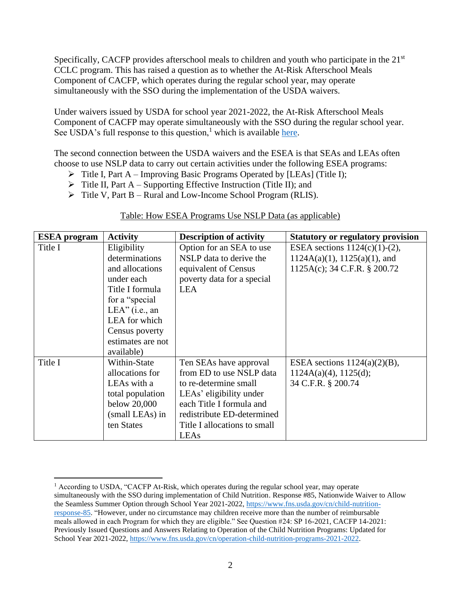Specifically, CACFP provides afterschool meals to children and youth who participate in the  $21<sup>st</sup>$ CCLC program. This has raised a question as to whether the At-Risk Afterschool Meals Component of CACFP, which operates during the regular school year, may operate simultaneously with the SSO during the implementation of the USDA waivers.

Under waivers issued by USDA for school year 2021-2022, the At-Risk Afterschool Meals Component of CACFP may operate simultaneously with the SSO during the regular school year. See USDA's full response to this question, $<sup>1</sup>$  which is available [here.](https://fns-prod.azureedge.net/sites/default/files/resource-files/SP16_CACFP14-2021os.pdf)</sup>

The second connection between the USDA waivers and the ESEA is that SEAs and LEAs often choose to use NSLP data to carry out certain activities under the following ESEA programs:

- ➢ Title I, Part A Improving Basic Programs Operated by [LEAs] (Title I);
- $\triangleright$  Title II, Part A Supporting Effective Instruction (Title II); and
- ➢ Title V, Part B Rural and Low-Income School Program (RLIS).

| <b>ESEA</b> program | <b>Activity</b>   | <b>Description of activity</b> | <b>Statutory or regulatory provision</b> |
|---------------------|-------------------|--------------------------------|------------------------------------------|
| Title I             | Eligibility       | Option for an SEA to use       | ESEA sections $1124(c)(1)-(2)$ ,         |
|                     | determinations    | NSLP data to derive the        | $1124A(a)(1), 1125(a)(1),$ and           |
|                     | and allocations   | equivalent of Census           | 1125A(c); 34 C.F.R. § 200.72             |
|                     | under each        | poverty data for a special     |                                          |
|                     | Title I formula   | <b>LEA</b>                     |                                          |
|                     | for a "special"   |                                |                                          |
|                     | $LEA"$ (i.e., an  |                                |                                          |
|                     | LEA for which     |                                |                                          |
|                     | Census poverty    |                                |                                          |
|                     | estimates are not |                                |                                          |
|                     | available)        |                                |                                          |
| Title I             | Within-State      | Ten SEAs have approval         | ESEA sections $1124(a)(2)(B)$ ,          |
|                     | allocations for   | from ED to use NSLP data       | $1124A(a)(4)$ , $1125(d)$ ;              |
|                     | LEAs with a       | to re-determine small          | 34 C.F.R. § 200.74                       |
|                     | total population  | LEAs' eligibility under        |                                          |
|                     | below 20,000      | each Title I formula and       |                                          |
|                     | (small LEAs) in   | redistribute ED-determined     |                                          |
|                     | ten States        | Title I allocations to small   |                                          |
|                     |                   | LEAs                           |                                          |

## Table: How ESEA Programs Use NSLP Data (as applicable)

<sup>&</sup>lt;sup>1</sup> According to USDA, "CACFP At-Risk, which operates during the regular school year, may operate simultaneously with the SSO during implementation of Child Nutrition. Response #85, Nationwide Waiver to Allow the Seamless Summer Option through School Year 2021-2022, [https://www.fns.usda.gov/cn/child-nutrition](https://www.fns.usda.gov/cn/child-nutrition-response-85)[response-85.](https://www.fns.usda.gov/cn/child-nutrition-response-85) "However, under no circumstance may children receive more than the number of reimbursable meals allowed in each Program for which they are eligible." See Question #24: SP 16-2021, CACFP 14-2021: Previously Issued Questions and Answers Relating to Operation of the Child Nutrition Programs: Updated for School Year 2021-2022[, https://www.fns.usda.gov/cn/operation-child-nutrition-programs-2021-2022.](https://www.fns.usda.gov/cn/operation-child-nutrition-programs-2021-2022)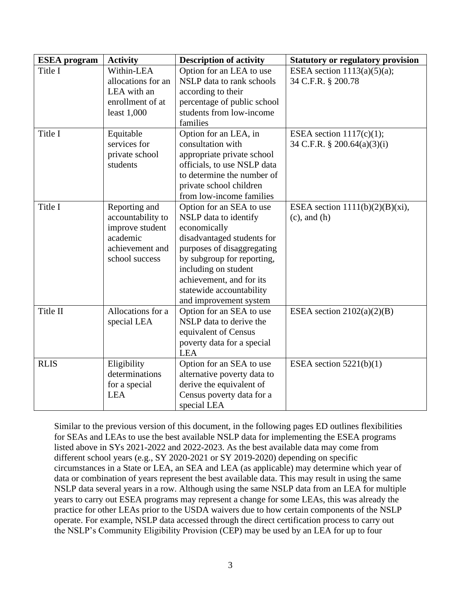| <b>ESEA</b> program | <b>Activity</b>    | <b>Description of activity</b> | <b>Statutory or regulatory provision</b> |
|---------------------|--------------------|--------------------------------|------------------------------------------|
| Title I             | Within-LEA         | Option for an LEA to use       | ESEA section $1113(a)(5)(a)$ ;           |
|                     | allocations for an | NSLP data to rank schools      | 34 C.F.R. § 200.78                       |
|                     | LEA with an        | according to their             |                                          |
|                     | enrollment of at   | percentage of public school    |                                          |
|                     | least $1,000$      | students from low-income       |                                          |
|                     |                    | families                       |                                          |
| Title I             | Equitable          | Option for an LEA, in          | ESEA section $1117(c)(1)$ ;              |
|                     | services for       | consultation with              | 34 C.F.R. § 200.64(a)(3)(i)              |
|                     | private school     | appropriate private school     |                                          |
|                     | students           | officials, to use NSLP data    |                                          |
|                     |                    | to determine the number of     |                                          |
|                     |                    | private school children        |                                          |
|                     |                    | from low-income families       |                                          |
| Title I             | Reporting and      | Option for an SEA to use       | ESEA section $1111(b)(2)(B)(xi)$ ,       |
|                     | accountability to  | NSLP data to identify          | $(c)$ , and $(h)$                        |
|                     | improve student    | economically                   |                                          |
|                     | academic           | disadvantaged students for     |                                          |
|                     | achievement and    | purposes of disaggregating     |                                          |
|                     | school success     | by subgroup for reporting,     |                                          |
|                     |                    | including on student           |                                          |
|                     |                    | achievement, and for its       |                                          |
|                     |                    | statewide accountability       |                                          |
|                     |                    | and improvement system         |                                          |
| Title II            | Allocations for a  | Option for an SEA to use       | ESEA section $2102(a)(2)(B)$             |
|                     | special LEA        | NSLP data to derive the        |                                          |
|                     |                    | equivalent of Census           |                                          |
|                     |                    | poverty data for a special     |                                          |
|                     |                    | <b>LEA</b>                     |                                          |
| <b>RLIS</b>         | Eligibility        | Option for an SEA to use       | ESEA section $5221(b)(1)$                |
|                     | determinations     | alternative poverty data to    |                                          |
|                     | for a special      | derive the equivalent of       |                                          |
|                     | <b>LEA</b>         | Census poverty data for a      |                                          |
|                     |                    | special LEA                    |                                          |

Similar to the previous version of this document, in the following pages ED outlines flexibilities for SEAs and LEAs to use the best available NSLP data for implementing the ESEA programs listed above in SYs 2021-2022 and 2022-2023. As the best available data may come from different school years (e.g., SY 2020-2021 or SY 2019-2020) depending on specific circumstances in a State or LEA, an SEA and LEA (as applicable) may determine which year of data or combination of years represent the best available data. This may result in using the same NSLP data several years in a row. Although using the same NSLP data from an LEA for multiple years to carry out ESEA programs may represent a change for some LEAs, this was already the practice for other LEAs prior to the USDA waivers due to how certain components of the NSLP operate. For example, NSLP data accessed through the direct certification process to carry out the NSLP's Community Eligibility Provision (CEP) may be used by an LEA for up to four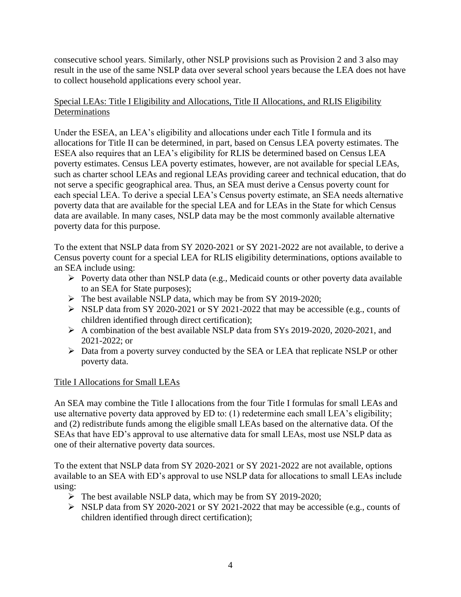consecutive school years. Similarly, other NSLP provisions such as Provision 2 and 3 also may result in the use of the same NSLP data over several school years because the LEA does not have to collect household applications every school year.

# Special LEAs: Title I Eligibility and Allocations, Title II Allocations, and RLIS Eligibility **Determinations**

Under the ESEA, an LEA's eligibility and allocations under each Title I formula and its allocations for Title II can be determined, in part, based on Census LEA poverty estimates. The ESEA also requires that an LEA's eligibility for RLIS be determined based on Census LEA poverty estimates. Census LEA poverty estimates, however, are not available for special LEAs, such as charter school LEAs and regional LEAs providing career and technical education, that do not serve a specific geographical area. Thus, an SEA must derive a Census poverty count for each special LEA. To derive a special LEA's Census poverty estimate, an SEA needs alternative poverty data that are available for the special LEA and for LEAs in the State for which Census data are available. In many cases, NSLP data may be the most commonly available alternative poverty data for this purpose.

To the extent that NSLP data from SY 2020-2021 or SY 2021-2022 are not available, to derive a Census poverty count for a special LEA for RLIS eligibility determinations, options available to an SEA include using:

- ➢ Poverty data other than NSLP data (e.g., Medicaid counts or other poverty data available to an SEA for State purposes);
- ➢ The best available NSLP data, which may be from SY 2019-2020;
- ➢ NSLP data from SY 2020-2021 or SY 2021-2022 that may be accessible (e.g., counts of children identified through direct certification);
- ➢ A combination of the best available NSLP data from SYs 2019-2020, 2020-2021, and 2021-2022; or
- ➢ Data from a poverty survey conducted by the SEA or LEA that replicate NSLP or other poverty data.

# Title I Allocations for Small LEAs

An SEA may combine the Title I allocations from the four Title I formulas for small LEAs and use alternative poverty data approved by ED to: (1) redetermine each small LEA's eligibility; and (2) redistribute funds among the eligible small LEAs based on the alternative data. Of the SEAs that have ED's approval to use alternative data for small LEAs, most use NSLP data as one of their alternative poverty data sources.

To the extent that NSLP data from SY 2020-2021 or SY 2021-2022 are not available, options available to an SEA with ED's approval to use NSLP data for allocations to small LEAs include using:

- ➢ The best available NSLP data, which may be from SY 2019-2020;
- $\triangleright$  NSLP data from SY 2020-2021 or SY 2021-2022 that may be accessible (e.g., counts of children identified through direct certification);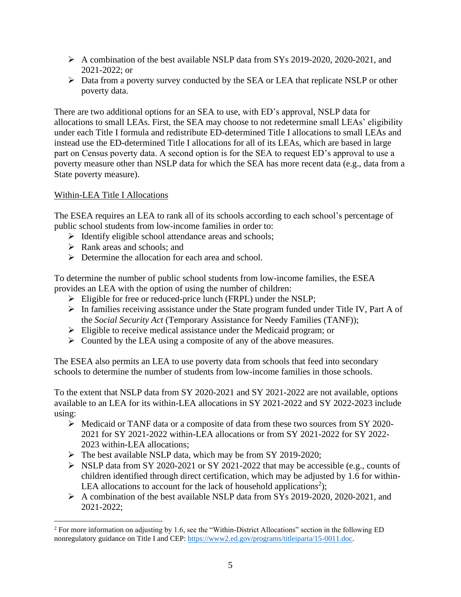- $\triangleright$  A combination of the best available NSLP data from SYs 2019-2020, 2020-2021, and  $2021 - 2022$ ; or
- ➢ Data from a poverty survey conducted by the SEA or LEA that replicate NSLP or other poverty data.

There are two additional options for an SEA to use, with ED's approval, NSLP data for allocations to small LEAs. First, the SEA may choose to not redetermine small LEAs' eligibility under each Title I formula and redistribute ED-determined Title I allocations to small LEAs and instead use the ED-determined Title I allocations for all of its LEAs, which are based in large part on Census poverty data. A second option is for the SEA to request ED's approval to use a poverty measure other than NSLP data for which the SEA has more recent data (e.g., data from a State poverty measure).

# Within-LEA Title I Allocations

The ESEA requires an LEA to rank all of its schools according to each school's percentage of public school students from low-income families in order to:

- ➢ Identify eligible school attendance areas and schools;
- ➢ Rank areas and schools; and
- $\triangleright$  Determine the allocation for each area and school.

To determine the number of public school students from low-income families, the ESEA provides an LEA with the option of using the number of children:

- ➢ Eligible for free or reduced-price lunch (FRPL) under the NSLP;
- ➢ In families receiving assistance under the State program funded under Title IV, Part A of the *Social Security Act* (Temporary Assistance for Needy Families (TANF));
- ➢ Eligible to receive medical assistance under the Medicaid program; or
- $\triangleright$  Counted by the LEA using a composite of any of the above measures.

The ESEA also permits an LEA to use poverty data from schools that feed into secondary schools to determine the number of students from low-income families in those schools.

To the extent that NSLP data from SY 2020-2021 and SY 2021-2022 are not available, options available to an LEA for its within-LEA allocations in SY 2021-2022 and SY 2022-2023 include using:

- $\triangleright$  Medicaid or TANF data or a composite of data from these two sources from SY 2020-2021 for SY 2021-2022 within-LEA allocations or from SY 2021-2022 for SY 2022- 2023 within-LEA allocations;
- ➢ The best available NSLP data, which may be from SY 2019-2020;
- ➢ NSLP data from SY 2020-2021 or SY 2021-2022 that may be accessible (e.g., counts of children identified through direct certification, which may be adjusted by 1.6 for within-LEA allocations to account for the lack of household applications<sup>2</sup>);
- $\triangleright$  A combination of the best available NSLP data from SYs 2019-2020, 2020-2021, and 2021-2022;

<sup>&</sup>lt;sup>2</sup> For more information on adjusting by 1.6, see the "Within-District Allocations" section in the following ED nonregulatory guidance on Title I and CEP[: https://www2.ed.gov/programs/titleiparta/15-0011.doc.](https://www2.ed.gov/programs/titleiparta/15-0011.doc)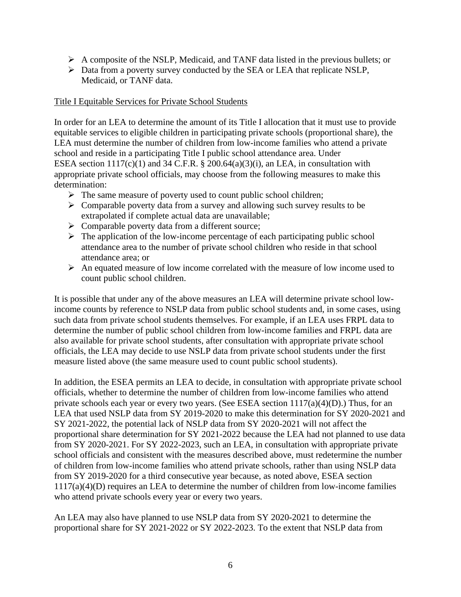- $\triangleright$  A composite of the NSLP, Medicaid, and TANF data listed in the previous bullets; or
- ➢ Data from a poverty survey conducted by the SEA or LEA that replicate NSLP, Medicaid, or TANF data.

#### Title I Equitable Services for Private School Students

In order for an LEA to determine the amount of its Title I allocation that it must use to provide equitable services to eligible children in participating private schools (proportional share), the LEA must determine the number of children from low-income families who attend a private school and reside in a participating Title I public school attendance area. Under ESEA section  $1117(c)(1)$  and 34 C.F.R. § 200.64(a)(3)(i), an LEA, in consultation with appropriate private school officials, may choose from the following measures to make this determination:

- ➢ The same measure of poverty used to count public school children;
- ➢ Comparable poverty data from a survey and allowing such survey results to be extrapolated if complete actual data are unavailable;
- ➢ Comparable poverty data from a different source;
- $\triangleright$  The application of the low-income percentage of each participating public school attendance area to the number of private school children who reside in that school attendance area; or
- $\triangleright$  An equated measure of low income correlated with the measure of low income used to count public school children.

It is possible that under any of the above measures an LEA will determine private school lowincome counts by reference to NSLP data from public school students and, in some cases, using such data from private school students themselves. For example, if an LEA uses FRPL data to determine the number of public school children from low-income families and FRPL data are also available for private school students, after consultation with appropriate private school officials, the LEA may decide to use NSLP data from private school students under the first measure listed above (the same measure used to count public school students).

In addition, the ESEA permits an LEA to decide, in consultation with appropriate private school officials, whether to determine the number of children from low-income families who attend private schools each year or every two years. (See ESEA section  $1117(a)(4)(D)$ .) Thus, for an LEA that used NSLP data from SY 2019-2020 to make this determination for SY 2020-2021 and SY 2021-2022, the potential lack of NSLP data from SY 2020-2021 will not affect the proportional share determination for SY 2021-2022 because the LEA had not planned to use data from SY 2020-2021. For SY 2022-2023, such an LEA, in consultation with appropriate private school officials and consistent with the measures described above, must redetermine the number of children from low-income families who attend private schools, rather than using NSLP data from SY 2019-2020 for a third consecutive year because, as noted above, ESEA section 1117(a)(4)(D) requires an LEA to determine the number of children from low-income families who attend private schools every year or every two years.

An LEA may also have planned to use NSLP data from SY 2020-2021 to determine the proportional share for SY 2021-2022 or SY 2022-2023. To the extent that NSLP data from